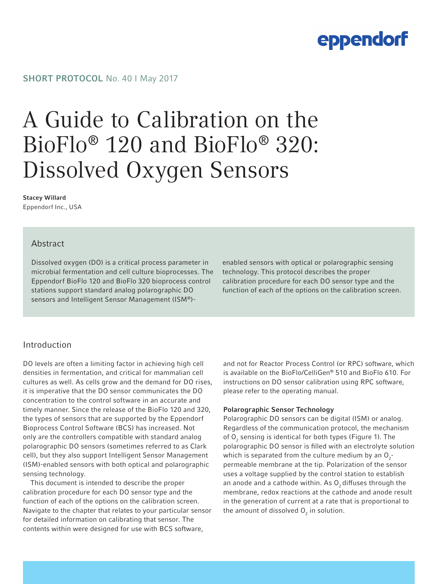### SHORT PROTOCOL No. 40 | May 2017

# A Guide to Calibration on the BioFlo® 120 and BioFlo® 320: Dissolved Oxygen Sensors

### Stacey Willard

Eppendorf Inc., USA

### Abstract

Dissolved oxygen (DO) is a critical process parameter in microbial fermentation and cell culture bioprocesses. The Eppendorf BioFlo 120 and BioFlo 320 bioprocess control stations support standard analog polarographic DO sensors and Intelligent Sensor Management (ISM®)-

enabled sensors with optical or polarographic sensing technology. This protocol describes the proper calibration procedure for each DO sensor type and the function of each of the options on the calibration screen.

### Introduction

DO levels are often a limiting factor in achieving high cell densities in fermentation, and critical for mammalian cell cultures as well. As cells grow and the demand for DO rises, it is imperative that the DO sensor communicates the DO concentration to the control software in an accurate and timely manner. Since the release of the BioFlo 120 and 320, the types of sensors that are supported by the Eppendorf Bioprocess Control Software (BCS) has increased. Not only are the controllers compatible with standard analog polarographic DO sensors (sometimes referred to as Clark cell), but they also support Intelligent Sensor Management (ISM)-enabled sensors with both optical and polarographic sensing technology.

This document is intended to describe the proper calibration procedure for each DO sensor type and the function of each of the options on the calibration screen. Navigate to the chapter that relates to your particular sensor for detailed information on calibrating that sensor. The contents within were designed for use with BCS software,

and not for Reactor Process Control (or RPC) software, which is available on the BioFlo/CelliGen® 510 and BioFlo 610. For instructions on DO sensor calibration using RPC software, please refer to the operating manual.

#### Polarographic Sensor Technology

Polarographic DO sensors can be digital (ISM) or analog. Regardless of the communication protocol, the mechanism of  ${\mathsf O}_2$  sensing is identical for both types (Figure 1). The polarographic DO sensor is filled with an electrolyte solution which is separated from the culture medium by an  $O_2$ permeable membrane at the tip. Polarization of the sensor uses a voltage supplied by the control station to establish an anode and a cathode within. As  $O<sub>2</sub>$  diffuses through the membrane, redox reactions at the cathode and anode result in the generation of current at a rate that is proportional to the amount of dissolved  ${\mathsf O}_{_{\sf 2}}$  in solution.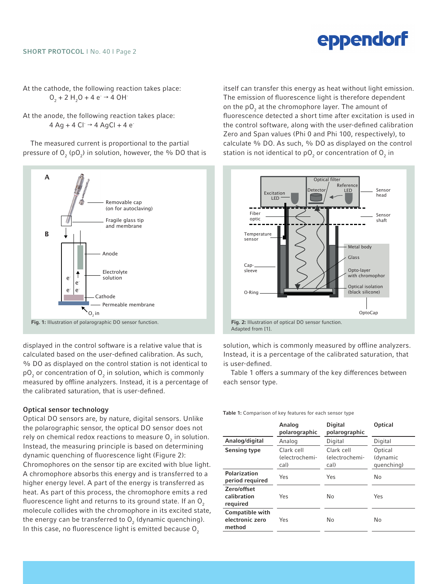At the cathode, the following reaction takes place:  $O_2 + 2 H_2O + 4 e \rightarrow 4 OH$ 

At the anode, the following reaction takes place:  $4$  Ag + 4 Cl $\rightarrow$  4 AgCl + 4 e

The measured current is proportional to the partial pressure of  $\mathsf{O}_2$  (p $\mathsf{O}_2$ ) in solution, however, the % DO that is



displayed in the control software is a relative value that is calculated based on the user-defined calibration. As such, % DO as displayed on the control station is not identical to pO<sub>2</sub> or concentration of O<sub>2</sub> in solution, which is commonly measured by offline analyzers. Instead, it is a percentage of the calibrated saturation, that is user-defined.

#### Optical sensor technology

Optical DO sensors are, by nature, digital sensors. Unlike the polarographic sensor, the optical DO sensor does not rely on chemical redox reactions to measure  ${\mathsf O}_{\mathsf 2}$  in solution. Instead, the measuring principle is based on determining dynamic quenching of fluorescence light (Figure 2): Chromophores on the sensor tip are excited with blue light. A chromophore absorbs this energy and is transferred to a higher energy level. A part of the energy is transferred as heat. As part of this process, the chromophore emits a red fluorescence light and returns to its ground state. If an  $O<sub>2</sub>$ molecule collides with the chromophore in its excited state, the energy can be transferred to  ${\mathsf O}_{_2}$  (dynamic quenching). In this case, no fluorescence light is emitted because  $O<sub>2</sub>$ 

itself can transfer this energy as heat without light emission. The emission of fluorescence light is therefore dependent on the  $pO_2$  at the chromophore layer. The amount of fluorescence detected a short time after excitation is used in the control software, along with the user-defined calibration Zero and Span values (Phi 0 and Phi 100, respectively), to calculate % DO. As such, % DO as displayed on the control station is not identical to p ${\sf O}_2$  or concentration of  ${\sf O}_2$  in



Adapted from [1].

solution, which is commonly measured by offline analyzers. Instead, it is a percentage of the calibrated saturation, that is user-defined.

Table 1 offers a summary of the key differences between each sensor type.

Table 1: Comparison of key features for each sensor type

|                                                     | Analog<br>polarographic              | Digital<br>polarographic             | Optical                           |
|-----------------------------------------------------|--------------------------------------|--------------------------------------|-----------------------------------|
| Analog/digital                                      | Analog                               | Digital                              | Digital                           |
| Sensing type                                        | Clark cell<br>(electrochemi-<br>cal) | Clark cell<br>(electrochemi-<br>cal) | Optical<br>(dynamic<br>quenching) |
| Polarization<br>period required                     | Yes                                  | Yes                                  | No                                |
| Zero/offset<br>calibration<br>required              | Yes                                  | No                                   | Yes                               |
| <b>Compatible with</b><br>electronic zero<br>method | Yes                                  | No                                   | No                                |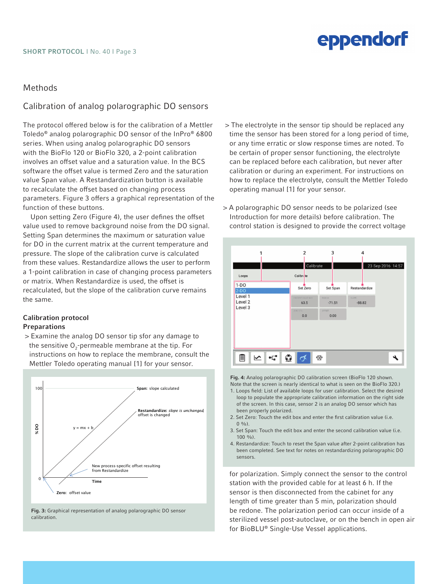### Methods

### Calibration of analog polarographic DO sensors

The protocol offered below is for the calibration of a Mettler Toledo® analog polarographic DO sensor of the InPro® 6800 series. When using analog polarographic DO sensors with the BioFlo 120 or BioFlo 320, a 2-point calibration involves an offset value and a saturation value. In the BCS software the offset value is termed Zero and the saturation value Span value. A Restandardization button is available to recalculate the offset based on changing process parameters. Figure 3 offers a graphical representation of the function of these buttons.

Upon setting Zero (Figure 4), the user defines the offset value used to remove background noise from the DO signal. Setting Span determines the maximum or saturation value for DO in the current matrix at the current temperature and pressure. The slope of the calibration curve is calculated from these values. Restandardize allows the user to perform a 1-point calibration in case of changing process parameters or matrix. When Restandardize is used, the offset is recalculated, but the slope of the calibration curve remains the same.

#### Calibration protocol Preparations

> Examine the analog DO sensor tip sfor any damage to the sensitive  $\mathsf{O}_2$ -permeable membrane at the tip. For instructions on how to replace the membrane, consult the Mettler Toledo operating manual [1] for your sensor.



Fig. 3: Graphical representation of analog polarographic DO sensor calibration.

- > The electrolyte in the sensor tip should be replaced any time the sensor has been stored for a long period of time, or any time erratic or slow response times are noted. To be certain of proper sensor functioning, the electrolyte can be replaced before each calibration, but never after calibration or during an experiment. For instructions on how to replace the electrolyte, consult the Mettler Toledo operating manual [1] for your sensor.
- > A polarographic DO sensor needs to be polarized (see Introduction for more details) before calibration. The control station is designed to provide the correct voltage



Fig. 4: Analog polarographic DO calibration screen (BioFlo 120 shown. Note that the screen is nearly identical to what is seen on the BioFlo 320.)

- 1. Loops field: List of available loops for user calibration. Select the desired loop to populate the appropriate calibration information on the right side of the screen. In this case, sensor 2 is an analog DO sensor which has been properly polarized.
- 2. Set Zero: Touch the edit box and enter the first calibration value (i.e.  $0 \frac{9}{6}$ .
- 3. Set Span: Touch the edit box and enter the second calibration value (i.e.  $100 \frac{0}{0}$
- 4. Restandardize: Touch to reset the Span value after 2-point calibration has been completed. See text for notes on restandardizing polarographic DO sensors.

for polarization. Simply connect the sensor to the control station with the provided cable for at least 6 h. If the sensor is then disconnected from the cabinet for any length of time greater than 5 min, polarization should be redone. The polarization period can occur inside of a sterilized vessel post-autoclave, or on the bench in open air for BioBLU® Single-Use Vessel applications.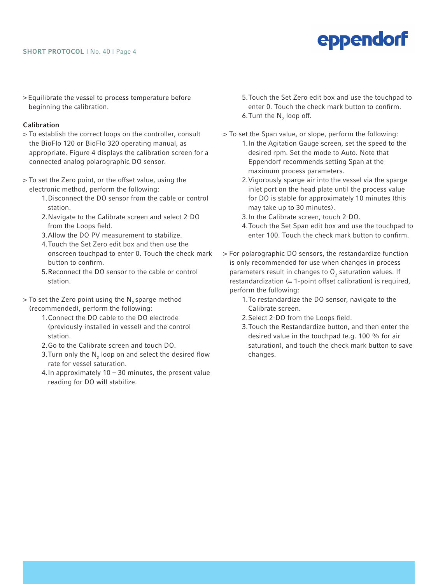#### SHORT PROTOCOL | No. 40 | Page 4

### eppendorf

> Equilibrate the vessel to process temperature before beginning the calibration.

#### Calibration

- > To establish the correct loops on the controller, consult the BioFlo 120 or BioFlo 320 operating manual, as appropriate. Figure 4 displays the calibration screen for a connected analog polarographic DO sensor.
- > To set the Zero point, or the offset value, using the electronic method, perform the following:
	- 1.Disconnect the DO sensor from the cable or control station.
	- 2.Navigate to the Calibrate screen and select 2-DO from the Loops field.
	- 3.Allow the DO PV measurement to stabilize.
	- 4.Touch the Set Zero edit box and then use the onscreen touchpad to enter 0. Touch the check mark button to confirm.
	- 5.Reconnect the DO sensor to the cable or control station.
- $>$  To set the Zero point using the N<sub>2</sub> sparge method (recommended), perform the following:
	- 1.Connect the DO cable to the DO electrode (previously installed in vessel) and the control station.
	- 2.Go to the Calibrate screen and touch DO.
	- 3.Turn only the  $\mathsf{N}_{\mathsf{2}}$  loop on and select the desired flow rate for vessel saturation.
	- 4. In approximately  $10 30$  minutes, the present value reading for DO will stabilize.
- 5.Touch the Set Zero edit box and use the touchpad to enter 0. Touch the check mark button to confirm. 6. Turn the  $\mathsf{N}_2$  loop off.
- > To set the Span value, or slope, perform the following: 1.In the Agitation Gauge screen, set the speed to the desired rpm. Set the mode to Auto. Note that Eppendorf recommends setting Span at the maximum process parameters.
	- 2.Vigorously sparge air into the vessel via the sparge inlet port on the head plate until the process value for DO is stable for approximately 10 minutes (this may take up to 30 minutes).
	- 3.In the Calibrate screen, touch 2-DO.
	- 4.Touch the Set Span edit box and use the touchpad to enter 100. Touch the check mark button to confirm.
- > For polarographic DO sensors, the restandardize function is only recommended for use when changes in process parameters result in changes to  $O_2$  saturation values. If restandardization (= 1-point offset calibration) is required, perform the following:
	- 1.To restandardize the DO sensor, navigate to the Calibrate screen.
	- 2.Select 2-DO from the Loops field.
	- 3.Touch the Restandardize button, and then enter the desired value in the touchpad (e.g. 100 % for air saturation), and touch the check mark button to save changes.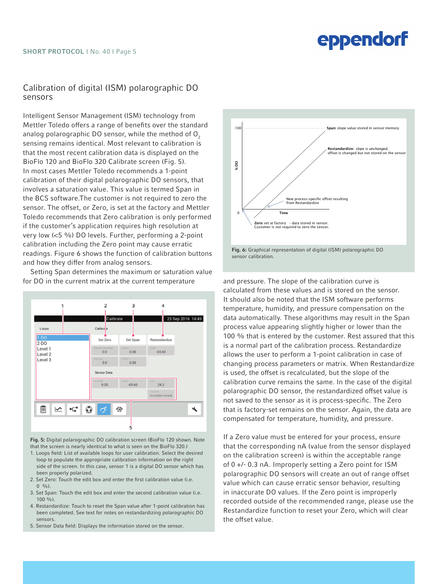### Calibration of digital (ISM) polarographic DO sensors

Intelligent Sensor Management (ISM) technology from Mettler Toledo offers a range of benefits over the standard analog polarographic  $DQ$  sensor, while the method of  $Q<sub>z</sub>$ sensing remains identical. Most relevant to calibration is that the most recent calibration data is displayed on the BioFlo 120 and BioFlo 320 Calibrate screen (Fig. 5). In most cases Mettler Toledo recommends a 1-point calibration of their digital polarographic DO sensors, that involves a saturation value. This value is termed Span in the BCS software.The customer is not required to zero the sensor. The offset, or Zero, is set at the factory and Mettler Toledo recommends that Zero calibration is only performed if the customer's application requires high resolution at very low (<5 %) DO levels. Further, performing a 2-point calibration including the Zero point may cause erratic readings. Figure 6 shows the function of calibration buttons and how they differ from analog sensors.

Setting Span determines the maximum or saturation value for DO in the current matrix at the current temperature and pressure. The slope of the calibration curve is



Fig. 5: Digital polarographic DO calibration screen (BioFlo 120 shown. Note that the screen is nearly identical to what is seen on the BioFlo 320.)

- 1. Loops field: List of available loops for user calibration. Select the desired loop to populate the appropriate calibration information on the right side of the screen. In this case, sensor 1 is a digital DO sensor which has been properly polarized.
- 2. Set Zero: Touch the edit box and enter the first calibration value (i.e.  $0 \frac{0}{0}$ .
- 3. Set Span: Touch the edit box and enter the second calibration value (i.e.  $100 \frac{0}{0}$
- 4. Restandardize: Touch to reset the Span value after 1-point calibration has been completed. See text for notes on restandardizing polarographic DO sensors.
- 5. Sensor Data field: Displays the information stored on the sensor.





calculated from these values and is stored on the sensor. It should also be noted that the ISM software performs temperature, humidity, and pressure compensation on the data automatically. These algorithms may result in the Span process value appearing slightly higher or lower than the 100 % that is entered by the customer. Rest assured that this is a normal part of the calibration process. Restandardize allows the user to perform a 1-point calibration in case of changing process parameters or matrix. When Restandardize is used, the offset is recalculated, but the slope of the calibration curve remains the same. In the case of the digital polarographic DO sensor, the restandardized offset value is not saved to the sensor as it is process-specific. The Zero that is factory-set remains on the sensor. Again, the data are compensated for temperature, humidity, and pressure.

If a Zero value must be entered for your process, ensure that the corresponding nA (value from the sensor displayed on the calibration screen) is within the acceptable range of 0 +/- 0.3 nA. Improperly setting a Zero point for ISM polarographic DO sensors will create an out of range offset value which can cause erratic sensor behavior, resulting in inaccurate DO values. If the Zero point is improperly recorded outside of the recommended range, please use the Restandardize function to reset your Zero, which will clear the offset value.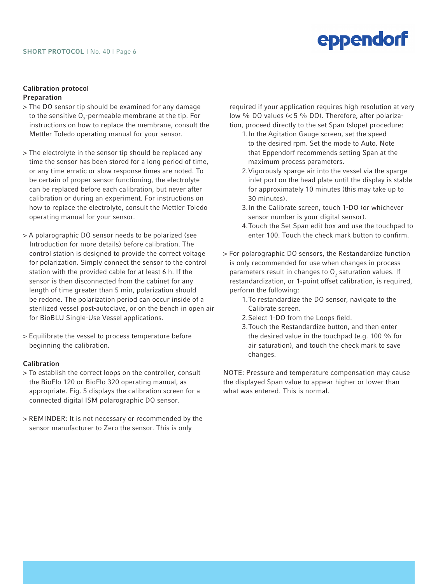### Calibration protocol

- Preparation
- > The DO sensor tip should be examined for any damage to the sensitive  ${\mathsf O}_2$ -permeable membrane at the tip. For instructions on how to replace the membrane, consult the Mettler Toledo operating manual for your sensor.
- > The electrolyte in the sensor tip should be replaced any time the sensor has been stored for a long period of time, or any time erratic or slow response times are noted. To be certain of proper sensor functioning, the electrolyte can be replaced before each calibration, but never after calibration or during an experiment. For instructions on how to replace the electrolyte, consult the Mettler Toledo operating manual for your sensor.
- > A polarographic DO sensor needs to be polarized (see Introduction for more details) before calibration. The control station is designed to provide the correct voltage for polarization. Simply connect the sensor to the control station with the provided cable for at least 6 h. If the sensor is then disconnected from the cabinet for any length of time greater than 5 min, polarization should be redone. The polarization period can occur inside of a sterilized vessel post-autoclave, or on the bench in open air for BioBLU Single-Use Vessel applications.
- > Equilibrate the vessel to process temperature before beginning the calibration.

### Calibration

- > To establish the correct loops on the controller, consult the BioFlo 120 or BioFlo 320 operating manual, as appropriate. Fig. 5 displays the calibration screen for a connected digital ISM polarographic DO sensor.
- > REMINDER: It is not necessary or recommended by the sensor manufacturer to Zero the sensor. This is only

required if your application requires high resolution at very low % DO values (< 5 % DO). Therefore, after polarization, proceed directly to the set Span (slope) procedure:

eppendorf

- 1.In the Agitation Gauge screen, set the speed to the desired rpm. Set the mode to Auto. Note that Eppendorf recommends setting Span at the maximum process parameters.
- 2.Vigorously sparge air into the vessel via the sparge inlet port on the head plate until the display is stable for approximately 10 minutes (this may take up to 30 minutes).
- 3.In the Calibrate screen, touch 1-DO (or whichever sensor number is your digital sensor).
- 4.Touch the Set Span edit box and use the touchpad to enter 100. Touch the check mark button to confirm.
- > For polarographic DO sensors, the Restandardize function is only recommended for use when changes in process parameters result in changes to  $O<sub>2</sub>$  saturation values. If restandardization, or 1-point offset calibration, is required, perform the following:
	- 1.To restandardize the DO sensor, navigate to the Calibrate screen.
	- 2.Select 1-DO from the Loops field.
	- 3.Touch the Restandardize button, and then enter the desired value in the touchpad (e.g. 100 % for air saturation), and touch the check mark to save changes.

NOTE: Pressure and temperature compensation may cause the displayed Span value to appear higher or lower than what was entered. This is normal.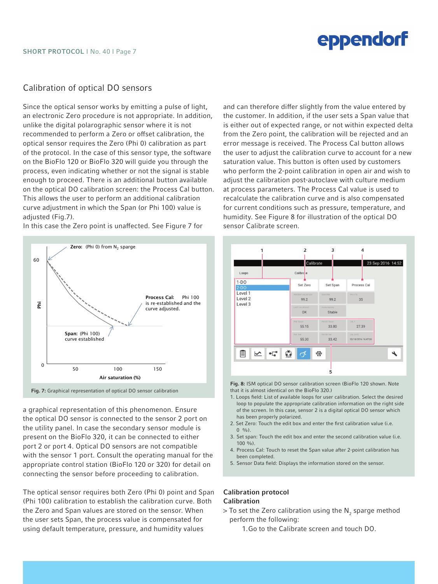### Calibration of optical DO sensors

Since the optical sensor works by emitting a pulse of light, an electronic Zero procedure is not appropriate. In addition, unlike the digital polarographic sensor where it is not recommended to perform a Zero or offset calibration, the optical sensor requires the Zero (Phi 0) calibration as part of the protocol. In the case of this sensor type, the software on the BioFlo 120 or BioFlo 320 will guide you through the process, even indicating whether or not the signal is stable enough to proceed. There is an additional button available on the optical DO calibration screen: the Process Cal button. This allows the user to perform an additional calibration curve adjustment in which the Span (or Phi 100) value is adjusted (Fig.7).



In this case the Zero point is unaffected. See Figure 7 for

a graphical representation of this phenomenon. Ensure the optical DO sensor is connected to the sensor 2 port on the utility panel. In case the secondary sensor module is present on the BioFlo 320, it can be connected to either port 2 or port 4. Optical DO sensors are not compatible with the sensor 1 port. Consult the operating manual for the appropriate control station (BioFlo 120 or 320) for detail on connecting the sensor before proceeding to calibration.

The optical sensor requires both Zero (Phi 0) point and Span (Phi 100) calibration to establish the calibration curve. Both the Zero and Span values are stored on the sensor. When the user sets Span, the process value is compensated for using default temperature, pressure, and humidity values

and can therefore differ slightly from the value entered by the customer. In addition, if the user sets a Span value that is either out of expected range, or not within expected delta from the Zero point, the calibration will be rejected and an error message is received. The Process Cal button allows the user to adjust the calibration curve to account for a new saturation value. This button is often used by customers who perform the 2-point calibration in open air and wish to adjust the calibration post-autoclave with culture medium at process parameters. The Process Cal value is used to recalculate the calibration curve and is also compensated for current conditions such as pressure, temperature, and humidity. See Figure 8 for illustration of the optical DO sensor Calibrate screen.



Fig. 8: ISM optical DO sensor calibration screen (BioFlo 120 shown. Note that it is almost identical on the BioFlo 320.)

- 1. Loops field: List of available loops for user calibration. Select the desired loop to populate the appropriate calibration information on the right side of the screen. In this case, sensor 2 is a digital optical DO sensor which has been properly polarized.
- 2. Set Zero: Touch the edit box and enter the first calibration value (i.e.  $(0, 0/0)$ .
- 3. Set span: Touch the edit box and enter the second calibration value (i.e. 100 %).
- 4. Process Cal: Touch to reset the Span value after 2-point calibration has been completed.
- 5. Sensor Data field: Displays the information stored on the sensor.

#### Calibration protocol Calibration

- $>$  To set the Zero calibration using the  $\mathsf{N}_2$  sparge method perform the following:
	- 1.Go to the Calibrate screen and touch DO.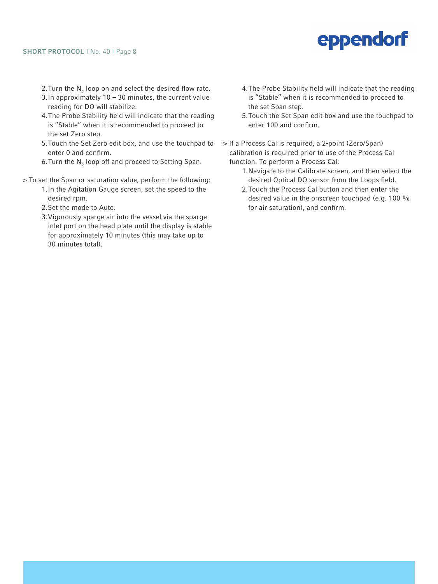- 2.Turn the  $\mathsf{N}_{_2}$  loop on and select the desired flow rate.
- 3.In approximately 10 30 minutes, the current value reading for DO will stabilize.
- 4.The Probe Stability field will indicate that the reading is "Stable" when it is recommended to proceed to the set Zero step.
- 5.Touch the Set Zero edit box, and use the touchpad to enter 0 and confirm.
- 6.Turn the  $\mathsf{N}_2$  loop off and proceed to Setting Span.
- > To set the Span or saturation value, perform the following:
	- 1.In the Agitation Gauge screen, set the speed to the desired rpm.
	- 2.Set the mode to Auto.
	- 3.Vigorously sparge air into the vessel via the sparge inlet port on the head plate until the display is stable for approximately 10 minutes (this may take up to 30 minutes total).
- 4.The Probe Stability field will indicate that the reading is "Stable" when it is recommended to proceed to the set Span step.
- 5.Touch the Set Span edit box and use the touchpad to enter 100 and confirm.
- > If a Process Cal is required, a 2-point (Zero/Span) calibration is required prior to use of the Process Cal function. To perform a Process Cal:
	- 1.Navigate to the Calibrate screen, and then select the desired Optical DO sensor from the Loops field.
	- 2.Touch the Process Cal button and then enter the desired value in the onscreen touchpad (e.g. 100 % for air saturation), and confirm.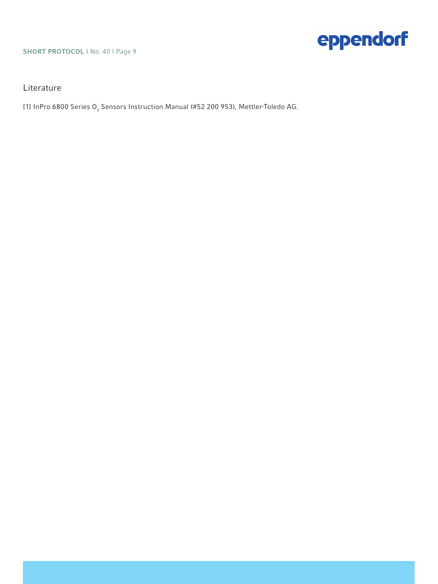### SHORT PROTOCOL | No. 40 | Page 9

### Literature

[1] InPro 6800 Series O $_{\tiny 2}$  Sensors Instruction Manual (#52 200 953), Mettler-Toledo AG.